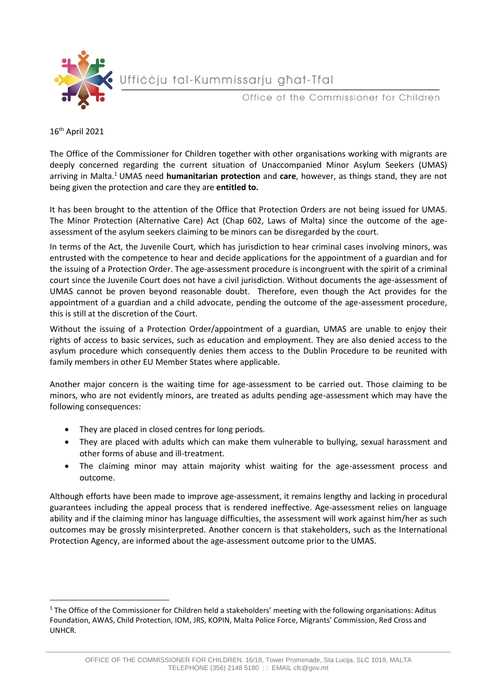

Ufficcju tal-Kummissarju għat-Tfal

Office of the Commissioner for Children

16th April 2021

 $\overline{a}$ 

The Office of the Commissioner for Children together with other organisations working with migrants are deeply concerned regarding the current situation of Unaccompanied Minor Asylum Seekers (UMAS) arriving in Malta.<sup>1</sup> UMAS need **humanitarian protection** and **care**, however, as things stand, they are not being given the protection and care they are **entitled to.**

It has been brought to the attention of the Office that Protection Orders are not being issued for UMAS. The Minor Protection (Alternative Care) Act (Chap 602, Laws of Malta) since the outcome of the ageassessment of the asylum seekers claiming to be minors can be disregarded by the court.

In terms of the Act, the Juvenile Court, which has jurisdiction to hear criminal cases involving minors, was entrusted with the competence to hear and decide applications for the appointment of a guardian and for the issuing of a Protection Order. The age-assessment procedure is incongruent with the spirit of a criminal court since the Juvenile Court does not have a civil jurisdiction. Without documents the age-assessment of UMAS cannot be proven beyond reasonable doubt. Therefore, even though the Act provides for the appointment of a guardian and a child advocate, pending the outcome of the age-assessment procedure, this is still at the discretion of the Court.

Without the issuing of a Protection Order/appointment of a guardian, UMAS are unable to enjoy their rights of access to basic services, such as education and employment. They are also denied access to the asylum procedure which consequently denies them access to the Dublin Procedure to be reunited with family members in other EU Member States where applicable.

Another major concern is the waiting time for age-assessment to be carried out. Those claiming to be minors, who are not evidently minors, are treated as adults pending age-assessment which may have the following consequences:

- They are placed in closed centres for long periods.
- They are placed with adults which can make them vulnerable to bullying, sexual harassment and other forms of abuse and ill-treatment.
- The claiming minor may attain majority whist waiting for the age-assessment process and outcome.

Although efforts have been made to improve age-assessment, it remains lengthy and lacking in procedural guarantees including the appeal process that is rendered ineffective. Age-assessment relies on language ability and if the claiming minor has language difficulties, the assessment will work against him/her as such outcomes may be grossly misinterpreted. Another concern is that stakeholders, such as the International Protection Agency, are informed about the age-assessment outcome prior to the UMAS.

<sup>&</sup>lt;sup>1</sup> The Office of the Commissioner for Children held a stakeholders' meeting with the following organisations: Aditus Foundation, AWAS, Child Protection, IOM, JRS, KOPIN, Malta Police Force, Migrants' Commission, Red Cross and UNHCR.